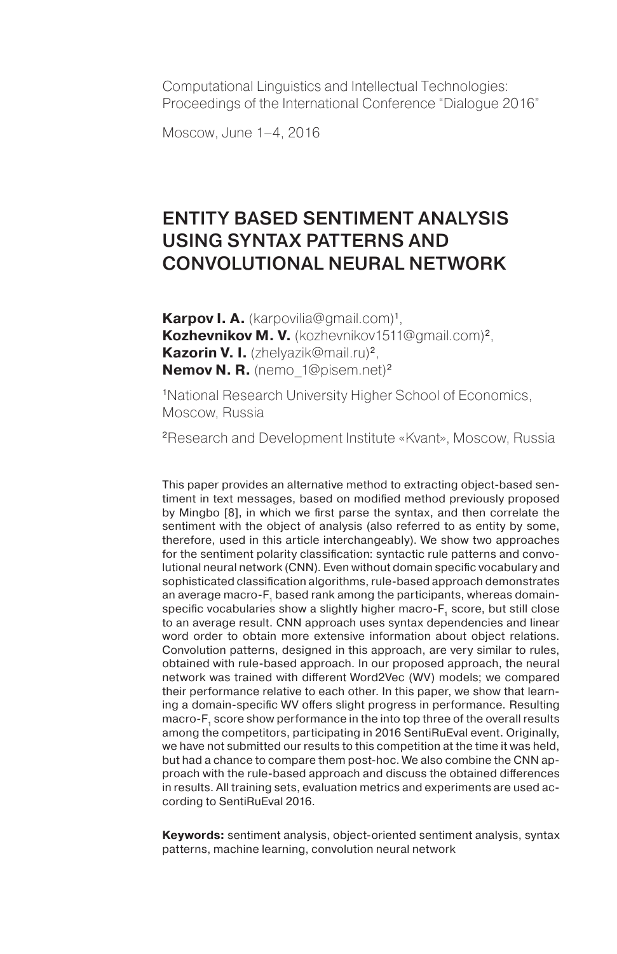Computational Linguistics and Intellectual Technologies: Proceedings of the International Conference "Dialogue 2016"

Moscow, June 1–4, 2016

# Entity Based Sentiment Analysis Using Syntax Patterns and Convolutional Neural Network

**Karpov I. A.** (karpovilia@gmail.com)1, **Kozhevnikov M. V.** (kozhevnikov1511@gmail.com)2, **Kazorin V. I.** (zhelyazik@mail.ru)2, **Nemov N. R.** (nemo\_1@pisem.net)<sup>2</sup>

<sup>1</sup>National Research University Higher School of Economics, Moscow, Russia

<sup>2</sup>Research and Development Institute «Kvant», Moscow, Russia

This paper provides an alternative method to extracting object-based sentiment in text messages, based on modified method previously proposed by Mingbo [8], in which we first parse the syntax, and then correlate the sentiment with the object of analysis (also referred to as entity by some, therefore, used in this article interchangeably). We show two approaches for the sentiment polarity classification: syntactic rule patterns and convolutional neural network (CNN). Even without domain specific vocabulary and sophisticated classification algorithms, rule-based approach demonstrates an average macro-F, based rank among the participants, whereas domainspecific vocabularies show a slightly higher macro-F, score, but still close to an average result. CNN approach uses syntax dependencies and linear word order to obtain more extensive information about object relations. Convolution patterns, designed in this approach, are very similar to rules, obtained with rule-based approach. In our proposed approach, the neural network was trained with different Word2Vec (WV) models; we compared their performance relative to each other. In this paper, we show that learning a domain-specific WV offers slight progress in performance. Resulting macro-F<sub>r</sub> score show performance in the into top three of the overall results among the competitors, participating in 2016 SentiRuEval event. Originally, we have not submitted our results to this competition at the time it was held, but had a chance to compare them post-hoc. We also combine the CNN approach with the rule-based approach and discuss the obtained differences in results. All training sets, evaluation metrics and experiments are used according to SentiRuEval 2016.

**Keywords:** sentiment analysis, object-oriented sentiment analysis, syntax patterns, machine learning, convolution neural network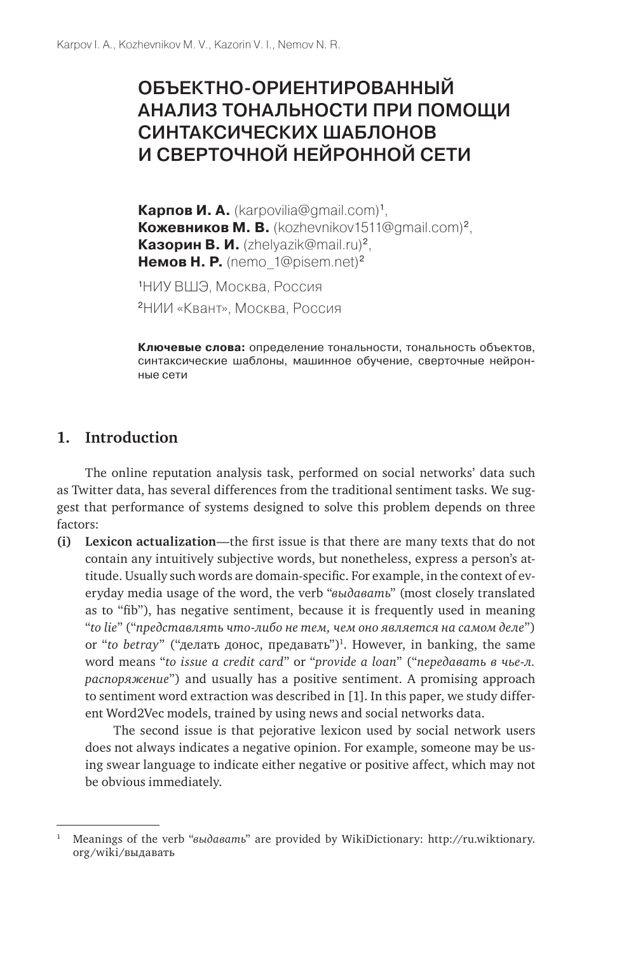# ОбъектнО-ОриентирОванный анализ тОнальнОсти при пОмОщи синтаксических шаблОнОв и свертОчнОй нейрОннОй сети

**Карпов И. А.** (karpovilia@gmail.com)1, **Кожевников М. В.** (kozhevnikov1511@gmail.com)2, **Казорин В. И.** (zhelyazik@mail.ru)2, **Немов Н. Р.** (nemo\_1@pisem.net)<sup>2</sup>

<sup>1</sup>НИУ ВШЭ, Москва, Россия <sup>2</sup>НИИ «Квант», Москва, Россия

**Ключевые слова:** определение тональности, тональность объектов, синтаксические шаблоны, машинное обучение, сверточные нейронные сети

# **1. Introduction**

The online reputation analysis task, performed on social networks' data such as Twitter data, has several differences from the traditional sentiment tasks. We suggest that performance of systems designed to solve this problem depends on three factors:

**(i) Lexicon actualization**—the first issue is that there are many texts that do not contain any intuitively subjective words, but nonetheless, express a person's attitude. Usually such words are domain-specific. For example, in the context of everyday media usage of the word, the verb "*выдавать*" (most closely translated as to "fib"), has negative sentiment, because it is frequently used in meaning "*to lie*" ("*представлять что-либо не тем, чем оно является на самом деле*") or "*to betray*" ("делать донос, предавать")1 . However, in banking, the same word means "*to issue a credit card*" or "*provide a loan*" ("*передавать в чье-л. распоряжение*") and usually has a positive sentiment. A promising approach to sentiment word extraction was described in [1]. In this paper, we study different Word2Vec models, trained by using news and social networks data.

The second issue is that pejorative lexicon used by social network users does not always indicates a negative opinion. For example, someone may be using swear language to indicate either negative or positive affect, which may not be obvious immediately.

<sup>1</sup> Meanings of the verb "*выдавать*" are provided by WikiDictionary: http://ru.wiktionary. org/wiki/выдавать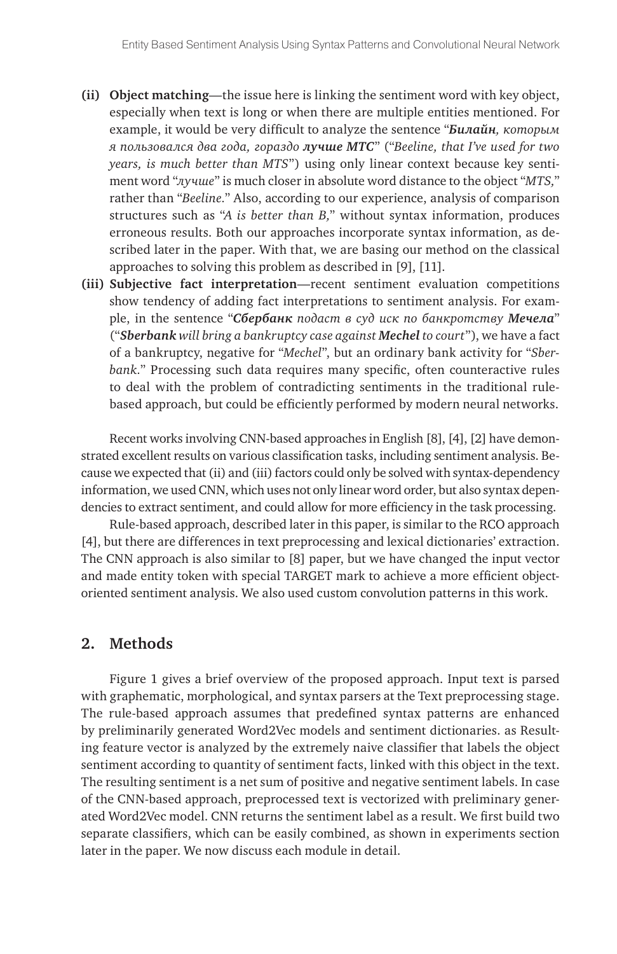- **(ii) Object matching**—the issue here is linking the sentiment word with key object, especially when text is long or when there are multiple entities mentioned. For example, it would be very difficult to analyze the sentence "*Билайн, которым я пользовался два года, гораздо лучше МТС*" ("*Beeline, that I've used for two years, is much better than MTS*") using only linear context because key sentiment word "*лучше*" is much closer in absolute word distance to the object "*MTS,*" rather than "*Beeline.*" Also, according to our experience, analysis of comparison structures such as "*A is better than B,*" without syntax information, produces erroneous results. Both our approaches incorporate syntax information, as described later in the paper. With that, we are basing our method on the classical approaches to solving this problem as described in [9], [11].
- **(iii) Subjective fact interpretation**—recent sentiment evaluation competitions show tendency of adding fact interpretations to sentiment analysis. For example, in the sentence "*Сбербанк подаст в суд иск по банкротству Мечела*" ("*Sberbank will bring a bankruptcy case against Mechel to court*"), we have a fact of a bankruptcy, negative for "*Mechel*", but an ordinary bank activity for "*Sberbank.*" Processing such data requires many specific, often counteractive rules to deal with the problem of contradicting sentiments in the traditional rulebased approach, but could be efficiently performed by modern neural networks.

Recent works involving CNN-based approaches in English [8], [4], [2] have demonstrated excellent results on various classification tasks, including sentiment analysis. Because we expected that (ii) and (iii) factors could only be solved with syntax-dependency information, we used CNN, which uses not only linear word order, but also syntax dependencies to extract sentiment, and could allow for more efficiency in the task processing.

Rule-based approach, described later in this paper, is similar to the RCO approach [4], but there are differences in text preprocessing and lexical dictionaries' extraction. The CNN approach is also similar to [8] paper, but we have changed the input vector and made entity token with special TARGET mark to achieve a more efficient objectoriented sentiment analysis. We also used custom convolution patterns in this work.

# **2. Methods**

Figure 1 gives a brief overview of the proposed approach. Input text is parsed with graphematic, morphological, and syntax parsers at the Text preprocessing stage. The rule-based approach assumes that predefined syntax patterns are enhanced by preliminarily generated Word2Vec models and sentiment dictionaries. as Resulting feature vector is analyzed by the extremely naive classifier that labels the object sentiment according to quantity of sentiment facts, linked with this object in the text. The resulting sentiment is a net sum of positive and negative sentiment labels. In case of the CNN-based approach, preprocessed text is vectorized with preliminary generated Word2Vec model. CNN returns the sentiment label as a result. We first build two separate classifiers, which can be easily combined, as shown in experiments section later in the paper. We now discuss each module in detail.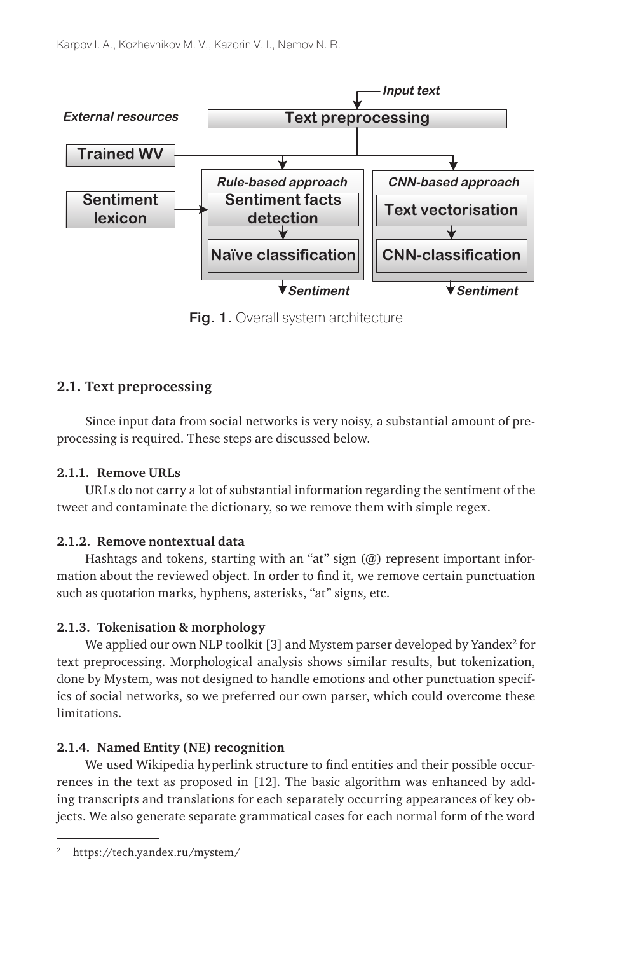

Fig. 1. Overall system architecture

## **2.1. Text preprocessing**

Since input data from social networks is very noisy, a substantial amount of preprocessing is required. These steps are discussed below.

#### **2.1.1. Remove URLs**

URLs do not carry a lot of substantial information regarding the sentiment of the tweet and contaminate the dictionary, so we remove them with simple regex.

#### **2.1.2. Remove nontextual data**

Hashtags and tokens, starting with an "at" sign (@) represent important information about the reviewed object. In order to find it, we remove certain punctuation such as quotation marks, hyphens, asterisks, "at" signs, etc.

#### **2.1.3. Tokenisation & morphology**

We applied our own NLP toolkit [3] and Mystem parser developed by Yandex $^{\rm 2}$  for text preprocessing. Morphological analysis shows similar results, but tokenization, done by Mystem, was not designed to handle emotions and other punctuation specifics of social networks, so we preferred our own parser, which could overcome these limitations.

#### **2.1.4. Named Entity (NE) recognition**

We used Wikipedia hyperlink structure to find entities and their possible occurrences in the text as proposed in [12]. The basic algorithm was enhanced by adding transcripts and translations for each separately occurring appearances of key objects. We also generate separate grammatical cases for each normal form of the word

<sup>2</sup> https://tech.yandex.ru/mystem/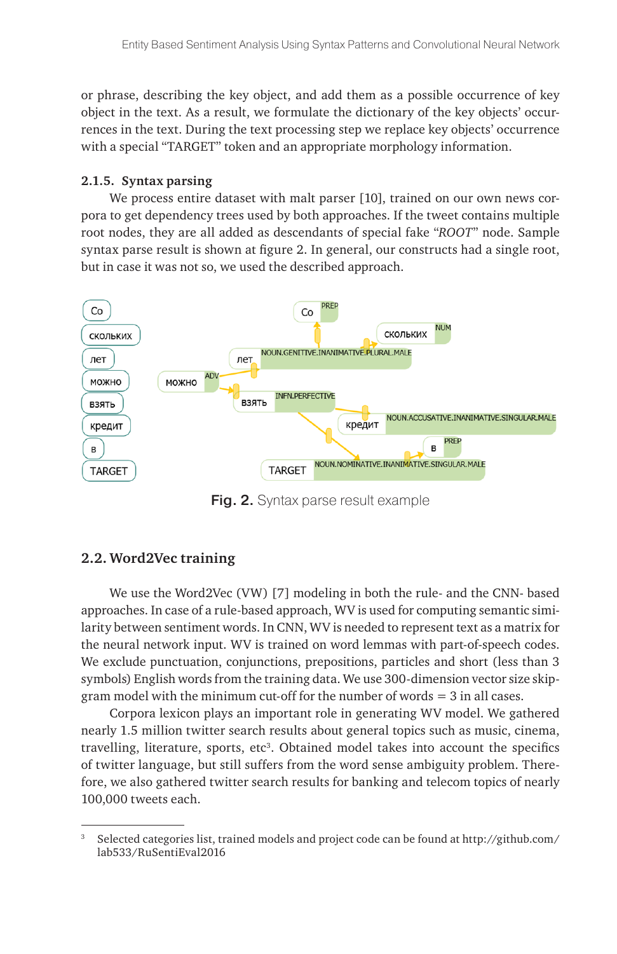or phrase, describing the key object, and add them as a possible occurrence of key object in the text. As a result, we formulate the dictionary of the key objects' occurrences in the text. During the text processing step we replace key objects' occurrence with a special "TARGET" token and an appropriate morphology information.

#### **2.1.5. Syntax parsing**

We process entire dataset with malt parser [10], trained on our own news corpora to get dependency trees used by both approaches. If the tweet contains multiple root nodes, they are all added as descendants of special fake "*ROOT*" node. Sample syntax parse result is shown at figure 2. In general, our constructs had a single root, but in case it was not so, we used the described approach.



Fig. 2. Syntax parse result example

## **2.2. Word2Vec training**

We use the Word2Vec (VW) [7] modeling in both the rule- and the CNN- based approaches. In case of a rule-based approach, WV is used for computing semantic similarity between sentiment words. In CNN, WV is needed to represent text as a matrix for the neural network input. WV is trained on word lemmas with part-of-speech codes. We exclude punctuation, conjunctions, prepositions, particles and short (less than 3 symbols) English words from the training data. We use 300-dimension vector size skipgram model with the minimum cut-off for the number of words = 3 in all cases.

Corpora lexicon plays an important role in generating WV model. We gathered nearly 1.5 million twitter search results about general topics such as music, cinema, travelling, literature, sports, etc<sup>3</sup>. Obtained model takes into account the specifics of twitter language, but still suffers from the word sense ambiguity problem. Therefore, we also gathered twitter search results for banking and telecom topics of nearly 100,000 tweets each.

<sup>3</sup> Selected categories list, trained models and project code can be found at http://github.com/ lab533/RuSentiEval2016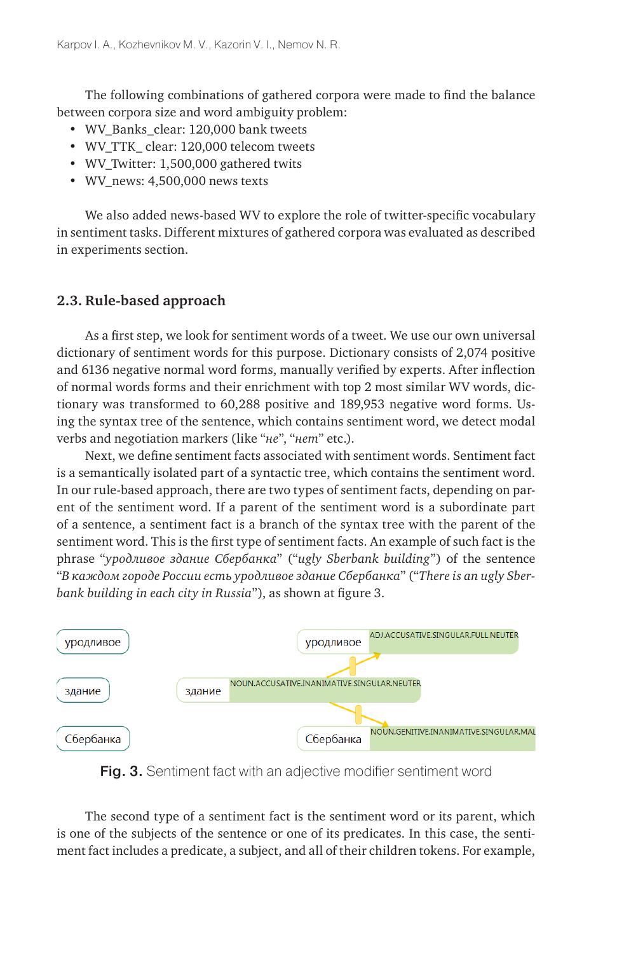The following combinations of gathered corpora were made to find the balance between corpora size and word ambiguity problem:

- • WV\_Banks\_clear: 120,000 bank tweets
- • WV\_TTK\_ clear: 120,000 telecom tweets
- • WV\_Twitter: 1,500,000 gathered twits
- • WV\_news: 4,500,000 news texts

We also added news-based WV to explore the role of twitter-specific vocabulary in sentiment tasks. Different mixtures of gathered corpora was evaluated as described in experiments section.

## **2.3. Rule-based approach**

As a first step, we look for sentiment words of a tweet. We use our own universal dictionary of sentiment words for this purpose. Dictionary consists of 2,074 positive and 6136 negative normal word forms, manually verified by experts. After inflection of normal words forms and their enrichment with top 2 most similar WV words, dictionary was transformed to 60,288 positive and 189,953 negative word forms. Using the syntax tree of the sentence, which contains sentiment word, we detect modal verbs and negotiation markers (like "*не*", "*нет*" etc.).

Next, we define sentiment facts associated with sentiment words. Sentiment fact is a semantically isolated part of a syntactic tree, which contains the sentiment word. In our rule-based approach, there are two types of sentiment facts, depending on parent of the sentiment word. If a parent of the sentiment word is a subordinate part of a sentence, a sentiment fact is a branch of the syntax tree with the parent of the sentiment word. This is the first type of sentiment facts. An example of such fact is the phrase "*уродливое здание Сбербанка*" ("*ugly Sberbank building*") of the sentence "*В каждом городе России есть уродливое здание Сбербанка*" ("*There is an ugly Sberbank building in each city in Russia*"), as shown at figure 3.



Fig. 3. Sentiment fact with an adjective modifier sentiment word

The second type of a sentiment fact is the sentiment word or its parent, which is one of the subjects of the sentence or one of its predicates. In this case, the sentiment fact includes a predicate, a subject, and all of their children tokens. For example,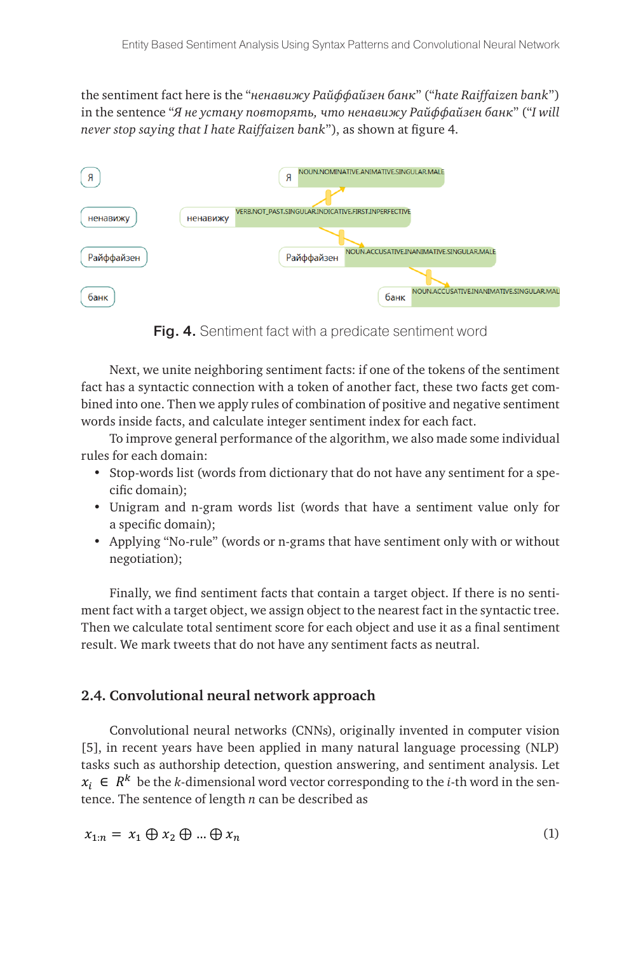the sentiment fact here is the "*ненавижу Райффайзен банк*" ("*hate Raiffaizen bank*") in the sentence "*Я не устану повторять, что ненавижу Райффайзен банк*" ("*I will never stop saying that I hate Raiffaizen bank*"), as shown at figure 4.



Fig. 4. Sentiment fact with a predicate sentiment word

Next, we unite neighboring sentiment facts: if one of the tokens of the sentiment fact has a syntactic connection with a token of another fact, these two facts get combined into one. Then we apply rules of combination of positive and negative sentiment words inside facts, and calculate integer sentiment index for each fact.

To improve general performance of the algorithm, we also made some individual rules for each domain:

- • Stop-words list (words from dictionary that do not have any sentiment for a specific domain);
- • Unigram and n-gram words list (words that have a sentiment value only for a specific domain);
- • Applying "No-rule" (words or n-grams that have sentiment only with or without negotiation);

Finally, we find sentiment facts that contain a target object. If there is no sentiment fact with a target object, we assign object to the nearest fact in the syntactic tree. Then we calculate total sentiment score for each object and use it as a final sentiment result. We mark tweets that do not have any sentiment facts as neutral.

## **2.4. Convolutional neural network approach**

Convolutional neural networks (CNNs), originally invented in computer vision [5], in recent years have been applied in many natural language processing (NLP) tasks such as authorship detection, question answering, and sentiment analysis. Let  $x_i \in R^k$  be the k-dimensional word vector corresponding to the *i*-th word in the sentence. The sentence of length *n* can be described as

$$
x_{1:n} = x_1 \oplus x_2 \oplus \dots \oplus x_n \tag{1}
$$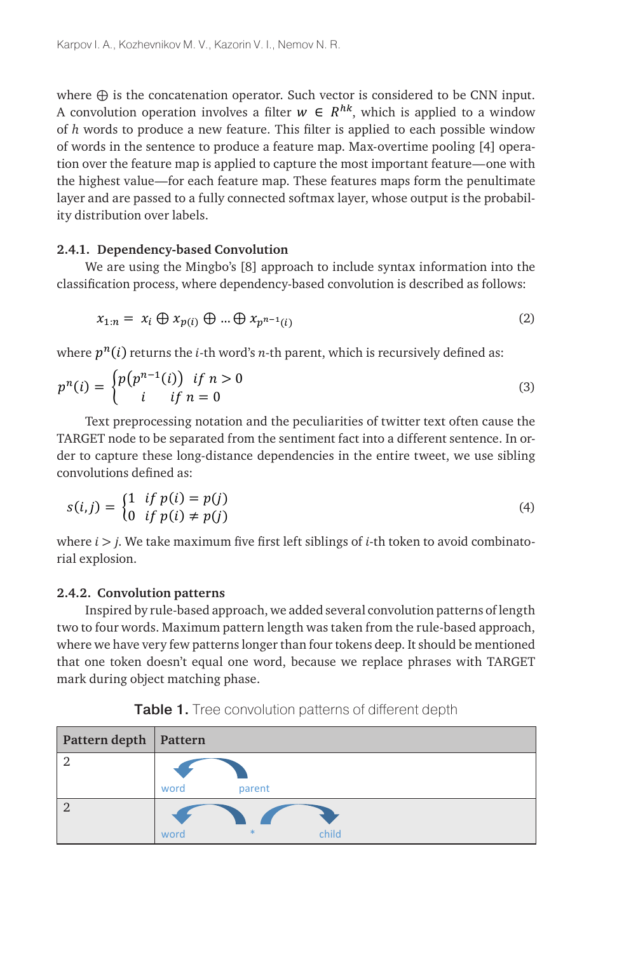where ⊕ is the concatenation operator. Such vector is considered to be CNN input. A convolution operation involves a filter  $w \in R^{n\kappa}$ , which is applied to a window the highest value—for each leature map. These reatures maps form the perfurmate<br>layer and are passed to a fully connected softmax layer, whose output is the probabil-<br>ity distribution over lobals of *h* words to produce a new feature. This filter is applied to each possible window of *h* words to produce a new feature. This filter is applied to each possible window of words in the sentence to produce a feature map. Max-overtime pooling [4] opera-<br> tion over the feature map is applied to capture the most important feature—one with the highest value—for each feature map. These features maps form the penultimate the highest value—for each feature map. These features maps form the penultimate ity distribution over labels.

# 2.4.1. Dependency-based Convolution

classification process, where dependency-based convolution is described as follows:<br> We are using the Mingbo's [8] approach to include syntax information into the

$$
x_{1:n} = x_i \oplus x_{p(i)} \oplus \dots \oplus x_{p^{n-1}(i)}
$$
\n(2)

where  $p^{n}(i)$  returns the *i*-th word's *n*-th parent, which is recursively defined as:  $\mathbb{R}^{n}$  (i) as true of  $\mathbb{R}^{n}$  it is example.

$$
p^{n}(i) = \begin{cases} p(p^{n-1}(i)) & \text{if } n > 0 \\ i & \text{if } n = 0 \end{cases}
$$
 (3)

xt preprocessing notation and th TARGET node to be separated from the sentiment fact into a different sentence. In or-<br>
TARGET node to be separated from the sentiment fact into a different sentence. In or- $(u \, ds)$ Text preprocessing notation and the peculiarities of twitter text often cause the  $\frac{1}{\sqrt{2}}$ convolutions defined as: der to capture these long-distance dependencies in the entire tweet, we use sibling

$$
s(i,j) = \begin{cases} 1 & if \ p(i) = p(j) \\ 0 & if \ p(i) \neq p(j) \end{cases}
$$
 (4)

where  $i > j$ . We take maximum five first left siblings of *i*-th token to avoid combinatorial explosion.

#### **2.4.2. Convolution patterns**

Inspired by rule-based approach, we added several convolution patterns of length two to four words. Maximum pattern length was taken from the rule-based approach, where we have very few patterns longer than four tokens deep. It should be mentioned that one token doesn't equal one word, because we replace phrases with TARGET mark during object matching phase.

| Pattern depth   Pattern |                      |
|-------------------------|----------------------|
| റ                       | parent<br>word       |
|                         | $*$<br>child<br>word |

Table 1. Tree convolution patterns of different depth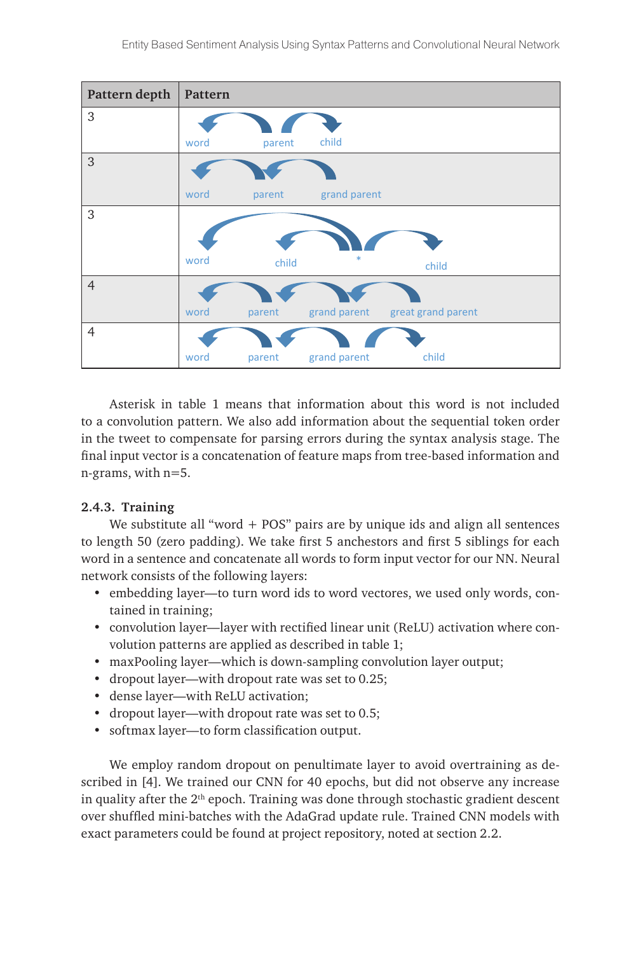| Pattern depth  | Pattern |        |              |                    |
|----------------|---------|--------|--------------|--------------------|
| 3              |         |        |              |                    |
|                | word    | parent | child        |                    |
| 3              |         |        |              |                    |
|                | word    | parent | grand parent |                    |
| 3              |         |        |              |                    |
|                | word    | child  | $\ast$       | child              |
| $\overline{4}$ |         |        |              |                    |
|                | word    | parent | grand parent | great grand parent |
| 4              |         |        |              |                    |
|                | word    | parent | grand parent | child              |

Asterisk in table 1 means that information about this word is not included to a convolution pattern. We also add information about the sequential token order in the tweet to compensate for parsing errors during the syntax analysis stage. The final input vector is a concatenation of feature maps from tree-based information and n-grams, with n=5.

#### **2.4.3. Training**

We substitute all "word  $+$  POS" pairs are by unique ids and align all sentences to length 50 (zero padding). We take first 5 anchestors and first 5 siblings for each word in a sentence and concatenate all words to form input vector for our NN. Neural network consists of the following layers:

- embedding layer—to turn word ids to word vectores, we used only words, contained in training;
- • convolution layer—layer with rectified linear unit (ReLU) activation where convolution patterns are applied as described in table 1;
- maxPooling layer—which is down-sampling convolution layer output;
- dropout layer—with dropout rate was set to 0.25;
- • dense layer—with ReLU activation;
- dropout layer—with dropout rate was set to 0.5;
- • softmax layer—to form classification output.

We employ random dropout on penultimate layer to avoid overtraining as described in [4]. We trained our CNN for 40 epochs, but did not observe any increase in quality after the 2<sup>th</sup> epoch. Training was done through stochastic gradient descent over shuffled mini-batches with the AdaGrad update rule. Trained CNN models with exact parameters could be found at project repository, noted at section 2.2.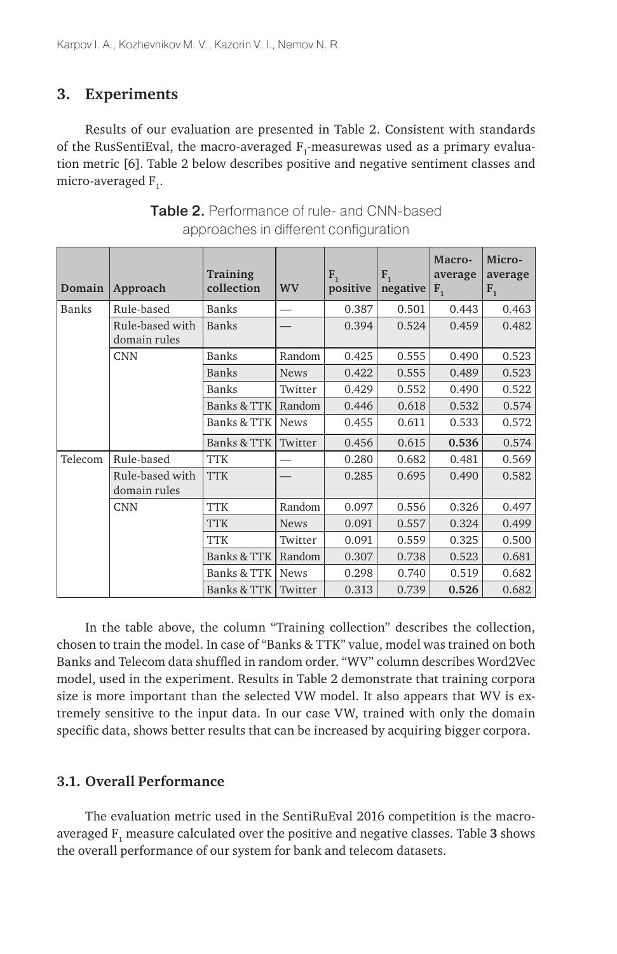## **3. Experiments**

Results of our evaluation are presented in Table 2. Consistent with standards of the RusSentiEval, the macro-averaged  $F_1$ -measurewas used as a primary evaluation metric [6]. Table 2 below describes positive and negative sentiment classes and micro-averaged  ${\tt F}_{\hbox{\scriptsize 1}}$ .

| Domain  | Approach                        | Training<br>collection | <b>WV</b>   | $F_{1}$<br>positive | $F_{1}$<br>negative | Macro-<br>average<br>$F_{1}$ | Micro-<br>average<br>$F_1$ |
|---------|---------------------------------|------------------------|-------------|---------------------|---------------------|------------------------------|----------------------------|
| Banks   | Rule-based                      | Banks                  |             | 0.387               | 0.501               | 0.443                        | 0.463                      |
|         | Rule-based with<br>domain rules | <b>Banks</b>           |             | 0.394               | 0.524               | 0.459                        | 0.482                      |
|         | <b>CNN</b>                      | Banks                  | Random      | 0.425               | 0.555               | 0.490                        | 0.523                      |
|         |                                 | <b>Banks</b>           | <b>News</b> | 0.422               | 0.555               | 0.489                        | 0.523                      |
|         |                                 | Banks                  | Twitter     | 0.429               | 0.552               | 0.490                        | 0.522                      |
|         |                                 | <b>Banks &amp; TTK</b> | Random      | 0.446               | 0.618               | 0.532                        | 0.574                      |
|         |                                 | Banks & TTK            | <b>News</b> | 0.455               | 0.611               | 0.533                        | 0.572                      |
|         |                                 | Banks & TTK            | Twitter     | 0.456               | 0.615               | 0.536                        | 0.574                      |
| Telecom | Rule-based                      | <b>TTK</b>             |             | 0.280               | 0.682               | 0.481                        | 0.569                      |
|         | Rule-based with<br>domain rules | <b>TTK</b>             |             | 0.285               | 0.695               | 0.490                        | 0.582                      |
|         | <b>CNN</b>                      | <b>TTK</b>             | Random      | 0.097               | 0.556               | 0.326                        | 0.497                      |
|         |                                 | <b>TTK</b>             | <b>News</b> | 0.091               | 0.557               | 0.324                        | 0.499                      |
|         |                                 | <b>TTK</b>             | Twitter     | 0.091               | 0.559               | 0.325                        | 0.500                      |
|         |                                 | Banks & TTK            | Random      | 0.307               | 0.738               | 0.523                        | 0.681                      |
|         |                                 | Banks & TTK            | <b>News</b> | 0.298               | 0.740               | 0.519                        | 0.682                      |
|         |                                 | Banks & TTK            | Twitter     | 0.313               | 0.739               | 0.526                        | 0.682                      |

Table 2. Performance of rule- and CNN-based approaches in different configuration

In the table above, the column "Training collection" describes the collection, chosen to train the model. In case of "Banks & TTK" value, model was trained on both Banks and Telecom data shuffled in random order. "WV" column describes Word2Vec model, used in the experiment. Results in Table 2 demonstrate that training corpora size is more important than the selected VW model. It also appears that WV is extremely sensitive to the input data. In our case VW, trained with only the domain specific data, shows better results that can be increased by acquiring bigger corpora.

## **3.1. Overall Performance**

The evaluation metric used in the SentiRuEval 2016 competition is the macroaveraged  $\text{F}_\text{i}$  measure calculated over the positive and negative classes. Table  $\textbf{3}$  shows the overall performance of our system for bank and telecom datasets.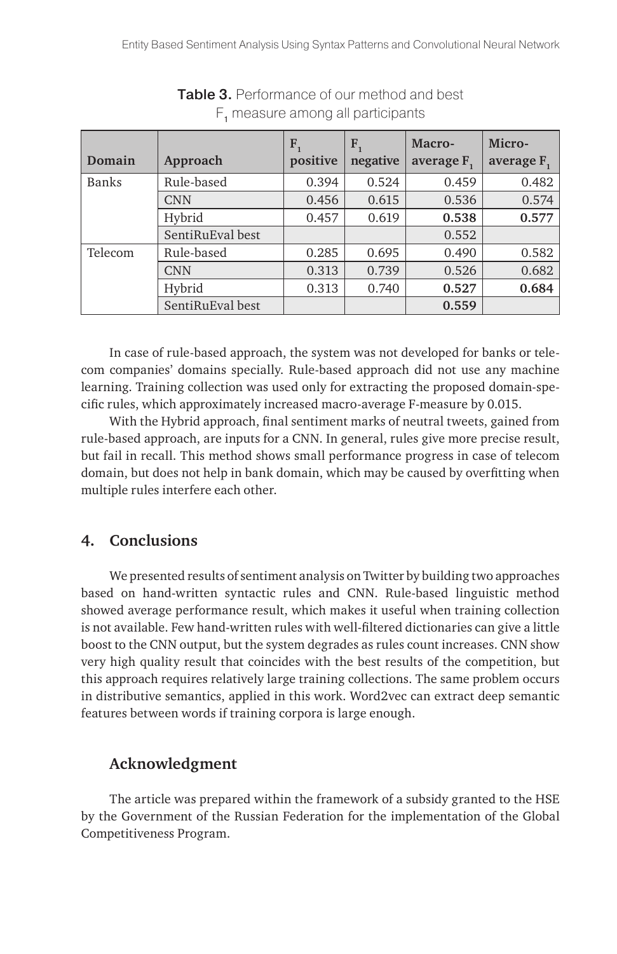| Domain       | Approach         | $F_1$<br>positive | $F_{1}$<br>negative | Macro-<br>average F. | Micro-<br>average F. |
|--------------|------------------|-------------------|---------------------|----------------------|----------------------|
| <b>Banks</b> | Rule-based       | 0.394             | 0.524               | 0.459                | 0.482                |
|              | <b>CNN</b>       | 0.456             | 0.615               | 0.536                | 0.574                |
|              | Hybrid           | 0.457             | 0.619               | 0.538                | 0.577                |
|              | SentiRuEval best |                   |                     | 0.552                |                      |
| Telecom      | Rule-based       | 0.285             | 0.695               | 0.490                | 0.582                |
|              | <b>CNN</b>       | 0.313             | 0.739               | 0.526                | 0.682                |
|              | Hybrid           | 0.313             | 0.740               | 0.527                | 0.684                |
|              | SentiRuEval best |                   |                     | 0.559                |                      |

Table 3. Performance of our method and best F, measure among all participants

In case of rule-based approach, the system was not developed for banks or telecom companies' domains specially. Rule-based approach did not use any machine learning. Training collection was used only for extracting the proposed domain-specific rules, which approximately increased macro-average F-measure by 0.015.

With the Hybrid approach, final sentiment marks of neutral tweets, gained from rule-based approach, are inputs for a CNN. In general, rules give more precise result, but fail in recall. This method shows small performance progress in case of telecom domain, but does not help in bank domain, which may be caused by overfitting when multiple rules interfere each other.

## **4. Conclusions**

We presented results of sentiment analysis on Twitter by building two approaches based on hand-written syntactic rules and CNN. Rule-based linguistic method showed average performance result, which makes it useful when training collection is not available. Few hand-written rules with well-filtered dictionaries can give a little boost to the CNN output, but the system degrades as rules count increases. CNN show very high quality result that coincides with the best results of the competition, but this approach requires relatively large training collections. The same problem occurs in distributive semantics, applied in this work. Word2vec can extract deep semantic features between words if training corpora is large enough.

# **Acknowledgment**

The article was prepared within the framework of a subsidy granted to the HSE by the Government of the Russian Federation for the implementation of the Global Competitiveness Program.